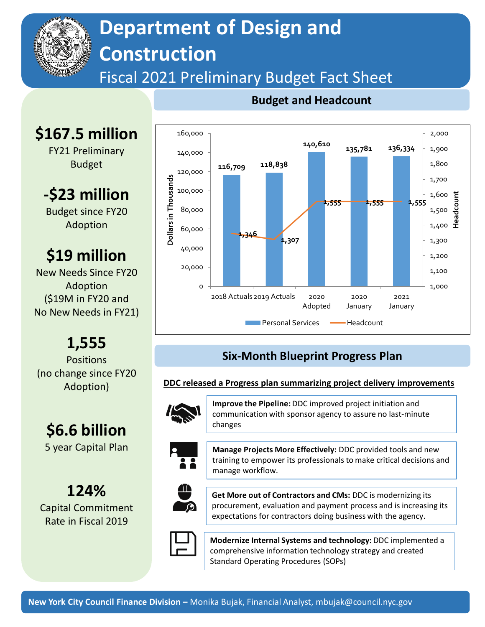

**\$167.5 million** 

FY21 Preliminary Budget

**-\$23 million**

Budget since FY20 Adoption

**\$19 million**

New Needs Since FY20 Adoption (\$19M in FY20 and No New Needs in FY21)

**1,555** Positions (no change since FY20 Adoption)

**\$6.6 billion**

5 year Capital Plan

**124%**

Capital Commitment Rate in Fiscal 2019

# **Department of Design and Construction**

## Fiscal 2021 Preliminary Budget Fact Sheet

#### 160,000 2,000 **140,610 135,781 136,334** 1,900 140,000 **116,709 118,838** 1,800 120,000 Dollars in Thousands **Dollars in Thousands** 1,700 100,000 1,600 **Headcount 1,555 1,555 1,555** 80,000 1,500 1,400 60,000 **1,346 1,307** 1,300 40,000 1,200 20,000 1,100 0 1,000 2018 Actuals2019 Actuals 2020 2020 2021 Adopted January January **Personal Services – Headcount**

#### **Budget and Headcount**

### **Six-Month Blueprint Progress Plan**

#### **DDC released a Progress plan summarizing project delivery improvements**



**Improve the Pipeline:** DDC improved project initiation and communication with sponsor agency to assure no last-minute changes



**Manage Projects More Effectively:** DDC provided tools and new training to empower its professionals to make critical decisions and manage workflow.



**Get More out of Contractors and CMs:** DDC is modernizing its procurement, evaluation and payment process and is increasing its expectations for contractors doing business with the agency.



**Modernize Internal Systems and technology:** DDC implemented a comprehensive information technology strategy and created Standard Operating Procedures (SOPs)